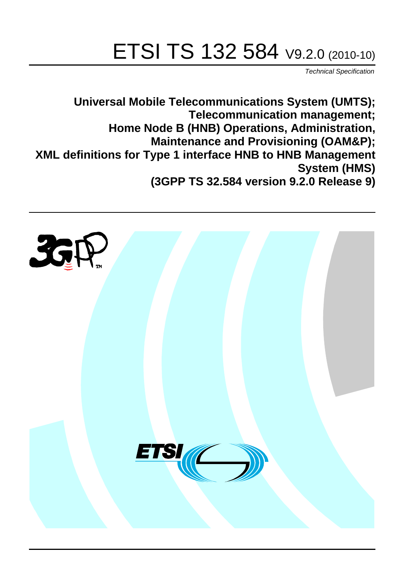# ETSI TS 132 584 V9.2.0 (2010-10)

*Technical Specification*

**Universal Mobile Telecommunications System (UMTS); Telecommunication management; Home Node B (HNB) Operations, Administration, Maintenance and Provisioning (OAM&P); XML definitions for Type 1 interface HNB to HNB Management System (HMS) (3GPP TS 32.584 version 9.2.0 Release 9)**

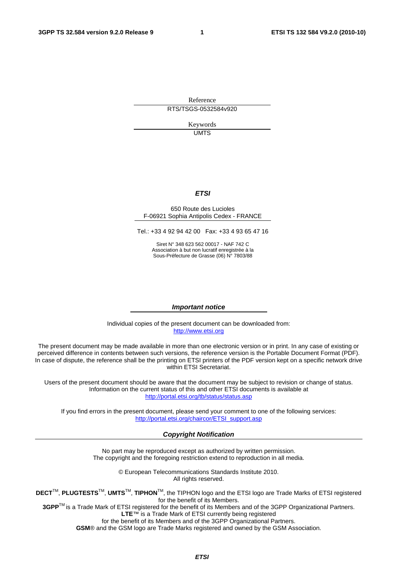Reference RTS/TSGS-0532584v920

> Keywords UMTS

#### *ETSI*

#### 650 Route des Lucioles F-06921 Sophia Antipolis Cedex - FRANCE

Tel.: +33 4 92 94 42 00 Fax: +33 4 93 65 47 16

Siret N° 348 623 562 00017 - NAF 742 C Association à but non lucratif enregistrée à la Sous-Préfecture de Grasse (06) N° 7803/88

#### *Important notice*

Individual copies of the present document can be downloaded from: [http://www.etsi.org](http://www.etsi.org/)

The present document may be made available in more than one electronic version or in print. In any case of existing or perceived difference in contents between such versions, the reference version is the Portable Document Format (PDF). In case of dispute, the reference shall be the printing on ETSI printers of the PDF version kept on a specific network drive within ETSI Secretariat.

Users of the present document should be aware that the document may be subject to revision or change of status. Information on the current status of this and other ETSI documents is available at <http://portal.etsi.org/tb/status/status.asp>

If you find errors in the present document, please send your comment to one of the following services: [http://portal.etsi.org/chaircor/ETSI\\_support.asp](http://portal.etsi.org/chaircor/ETSI_support.asp)

#### *Copyright Notification*

No part may be reproduced except as authorized by written permission. The copyright and the foregoing restriction extend to reproduction in all media.

> © European Telecommunications Standards Institute 2010. All rights reserved.

**DECT**TM, **PLUGTESTS**TM, **UMTS**TM, **TIPHON**TM, the TIPHON logo and the ETSI logo are Trade Marks of ETSI registered for the benefit of its Members.

**3GPP**TM is a Trade Mark of ETSI registered for the benefit of its Members and of the 3GPP Organizational Partners. **LTE**™ is a Trade Mark of ETSI currently being registered

for the benefit of its Members and of the 3GPP Organizational Partners.

**GSM**® and the GSM logo are Trade Marks registered and owned by the GSM Association.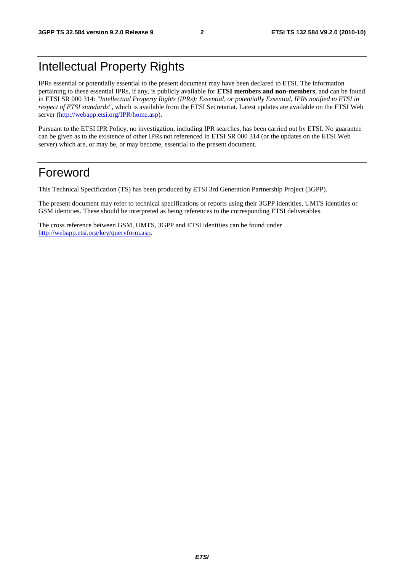### Intellectual Property Rights

IPRs essential or potentially essential to the present document may have been declared to ETSI. The information pertaining to these essential IPRs, if any, is publicly available for **ETSI members and non-members**, and can be found in ETSI SR 000 314: *"Intellectual Property Rights (IPRs); Essential, or potentially Essential, IPRs notified to ETSI in respect of ETSI standards"*, which is available from the ETSI Secretariat. Latest updates are available on the ETSI Web server [\(http://webapp.etsi.org/IPR/home.asp\)](http://webapp.etsi.org/IPR/home.asp).

Pursuant to the ETSI IPR Policy, no investigation, including IPR searches, has been carried out by ETSI. No guarantee can be given as to the existence of other IPRs not referenced in ETSI SR 000 314 (or the updates on the ETSI Web server) which are, or may be, or may become, essential to the present document.

### Foreword

This Technical Specification (TS) has been produced by ETSI 3rd Generation Partnership Project (3GPP).

The present document may refer to technical specifications or reports using their 3GPP identities, UMTS identities or GSM identities. These should be interpreted as being references to the corresponding ETSI deliverables.

The cross reference between GSM, UMTS, 3GPP and ETSI identities can be found under [http://webapp.etsi.org/key/queryform.asp.](http://webapp.etsi.org/key/queryform.asp)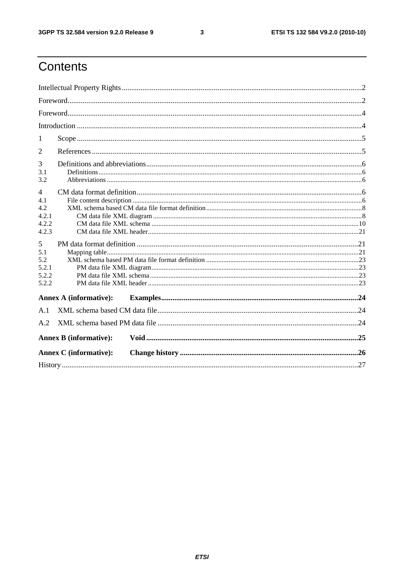$\mathbf{3}$ 

### Contents

| 1              |                               |  |  |  |  |  |
|----------------|-------------------------------|--|--|--|--|--|
| 2              |                               |  |  |  |  |  |
| 3              |                               |  |  |  |  |  |
| 3.1<br>3.2     |                               |  |  |  |  |  |
| $\overline{4}$ |                               |  |  |  |  |  |
| 4.1            |                               |  |  |  |  |  |
| 4.2            |                               |  |  |  |  |  |
| 4.2.1          |                               |  |  |  |  |  |
| 4.2.2          |                               |  |  |  |  |  |
| 4.2.3          |                               |  |  |  |  |  |
| 5              |                               |  |  |  |  |  |
| 5.1            |                               |  |  |  |  |  |
| 5.2            |                               |  |  |  |  |  |
| 5.2.1          |                               |  |  |  |  |  |
| 5.2.2          |                               |  |  |  |  |  |
| 5.2.2          |                               |  |  |  |  |  |
|                | <b>Annex A (informative):</b> |  |  |  |  |  |
| A.1            |                               |  |  |  |  |  |
| A.2            |                               |  |  |  |  |  |
|                | <b>Annex B</b> (informative): |  |  |  |  |  |
|                | <b>Annex C</b> (informative): |  |  |  |  |  |
|                |                               |  |  |  |  |  |
|                |                               |  |  |  |  |  |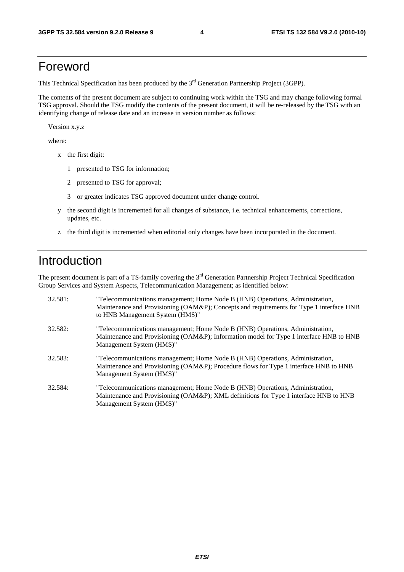### Foreword

This Technical Specification has been produced by the 3<sup>rd</sup> Generation Partnership Project (3GPP).

The contents of the present document are subject to continuing work within the TSG and may change following formal TSG approval. Should the TSG modify the contents of the present document, it will be re-released by the TSG with an identifying change of release date and an increase in version number as follows:

Version x.y.z

where:

- x the first digit:
	- 1 presented to TSG for information;
	- 2 presented to TSG for approval;
	- 3 or greater indicates TSG approved document under change control.
- y the second digit is incremented for all changes of substance, i.e. technical enhancements, corrections, updates, etc.
- z the third digit is incremented when editorial only changes have been incorporated in the document.

### Introduction

The present document is part of a TS-family covering the 3<sup>rd</sup> Generation Partnership Project Technical Specification Group Services and System Aspects, Telecommunication Management; as identified below:

| 32.581: | "Telecommunications management; Home Node B (HNB) Operations, Administration,<br>Maintenance and Provisioning (OAM&P); Concepts and requirements for Type 1 interface HNB<br>to HNB Management System (HMS)" |
|---------|--------------------------------------------------------------------------------------------------------------------------------------------------------------------------------------------------------------|
| 32.582: | "Telecommunications management; Home Node B (HNB) Operations, Administration,<br>Maintenance and Provisioning (OAM&P); Information model for Type 1 interface HNB to HNB<br>Management System (HMS)"         |
| 32.583: | "Telecommunications management; Home Node B (HNB) Operations, Administration,<br>Maintenance and Provisioning (OAM&P); Procedure flows for Type 1 interface HNB to HNB<br>Management System (HMS)"           |
| 32.584: | "Telecommunications management; Home Node B (HNB) Operations, Administration,<br>Maintenance and Provisioning (OAM&P); XML definitions for Type 1 interface HNB to HNB<br>Management System (HMS)"           |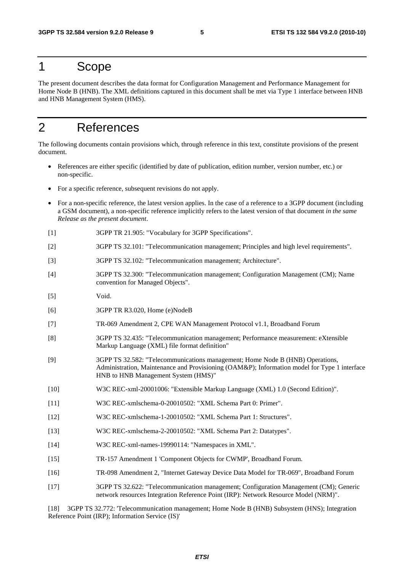### 1 Scope

The present document describes the data format for Configuration Management and Performance Management for Home Node B (HNB). The XML definitions captured in this document shall be met via Type 1 interface between HNB and HNB Management System (HMS).

### 2 References

The following documents contain provisions which, through reference in this text, constitute provisions of the present document.

- References are either specific (identified by date of publication, edition number, version number, etc.) or non-specific.
- For a specific reference, subsequent revisions do not apply.
- For a non-specific reference, the latest version applies. In the case of a reference to a 3GPP document (including a GSM document), a non-specific reference implicitly refers to the latest version of that document *in the same Release as the present document*.
- [1] 3GPP TR 21.905: "Vocabulary for 3GPP Specifications".
- [2] 3GPP TS 32.101: "Telecommunication management; Principles and high level requirements".
- [3] 3GPP TS 32.102: "Telecommunication management; Architecture".
- [4] 3GPP TS 32.300: "Telecommunication management; Configuration Management (CM); Name convention for Managed Objects".
- [5] Void.
- [6] 3GPP TR R3.020, Home (e)NodeB
- [7] TR-069 Amendment 2, CPE WAN Management Protocol v1.1, Broadband Forum
- [8] 3GPP TS 32.435: "Telecommunication management; Performance measurement: eXtensible Markup Language (XML) file format definition"
- [9] 3GPP TS 32.582: "Telecommunications management; Home Node B (HNB) Operations, Administration, Maintenance and Provisioning (OAM&P); Information model for Type 1 interface HNB to HNB Management System (HMS)"
- [10] W3C REC-xml-20001006: "Extensible Markup Language (XML) 1.0 (Second Edition)".
- [11] W3C REC-xmlschema-0-20010502: "XML Schema Part 0: Primer".
- [12] W3C REC-xmlschema-1-20010502: "XML Schema Part 1: Structures".
- [13] W3C REC-xmlschema-2-20010502: "XML Schema Part 2: Datatypes".
- [14] W3C REC-xml-names-19990114: "Namespaces in XML".
- [15] TR-157 Amendment 1 'Component Objects for CWMP', Broadband Forum.
- [16] TR-098 Amendment 2, "Internet Gateway Device Data Model for TR-069", Broadband Forum
- [17] 3GPP TS 32.622: "Telecommunication management; Configuration Management (CM); Generic network resources Integration Reference Point (IRP): Network Resource Model (NRM)".

[18] 3GPP TS 32.772: 'Telecommunication management; Home Node B (HNB) Subsystem (HNS); Integration Reference Point (IRP); Information Service (IS)'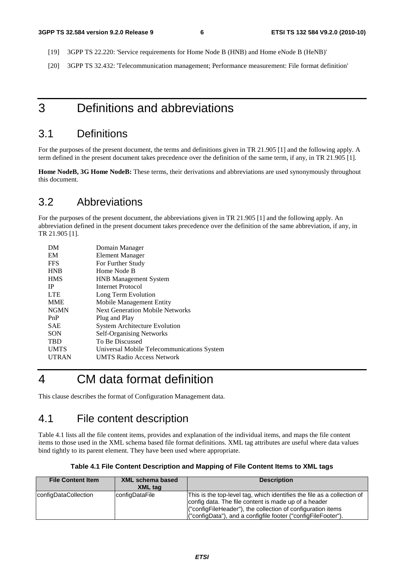- [19] 3GPP TS 22.220: 'Service requirements for Home Node B (HNB) and Home eNode B (HeNB)'
- [20] 3GPP TS 32.432: 'Telecommunication management; Performance measurement: File format definition'

### 3 Definitions and abbreviations

### 3.1 Definitions

For the purposes of the present document, the terms and definitions given in TR 21.905 [1] and the following apply. A term defined in the present document takes precedence over the definition of the same term, if any, in TR 21.905 [1].

**Home NodeB, 3G Home NodeB:** These terms, their derivations and abbreviations are used synonymously throughout this document.

### 3.2 Abbreviations

For the purposes of the present document, the abbreviations given in TR 21.905 [1] and the following apply. An abbreviation defined in the present document takes precedence over the definition of the same abbreviation, if any, in TR 21.905 [1].

| DM           | Domain Manager                             |
|--------------|--------------------------------------------|
| EM           | Element Manager                            |
| <b>FFS</b>   | For Further Study                          |
| <b>HNB</b>   | Home Node B                                |
| <b>HMS</b>   | <b>HNB</b> Management System               |
| <b>IP</b>    | Internet Protocol                          |
| <b>LTE</b>   | Long Term Evolution                        |
| <b>MME</b>   | Mobile Management Entity                   |
| <b>NGMN</b>  | <b>Next Generation Mobile Networks</b>     |
| PnP          | Plug and Play                              |
| <b>SAE</b>   | <b>System Architecture Evolution</b>       |
| <b>SON</b>   | <b>Self-Organising Networks</b>            |
| <b>TBD</b>   | To Be Discussed                            |
| <b>UMTS</b>  | Universal Mobile Telecommunications System |
| <b>UTRAN</b> | <b>UMTS Radio Access Network</b>           |
|              |                                            |

### 4 CM data format definition

This clause describes the format of Configuration Management data.

### 4.1 File content description

Table 4.1 lists all the file content items, provides and explanation of the individual items, and maps the file content items to those used in the XML schema based file format definitions. XML tag attributes are useful where data values bind tightly to its parent element. They have been used where appropriate.

| Table 4.1 File Content Description and Mapping of File Content Items to XML tags |  |  |  |  |  |
|----------------------------------------------------------------------------------|--|--|--|--|--|
|----------------------------------------------------------------------------------|--|--|--|--|--|

| <b>File Content Item</b> | XML schema based<br><b>XML</b> tag | <b>Description</b>                                                                                                                                                                                                                                              |
|--------------------------|------------------------------------|-----------------------------------------------------------------------------------------------------------------------------------------------------------------------------------------------------------------------------------------------------------------|
| configDataCollection     | configDataFile                     | This is the top-level tag, which identifies the file as a collection of<br>config data. The file content is made up of a header<br>("configFileHeader"), the collection of configuration items<br>("configData"), and a configfile footer ("configFileFooter"). |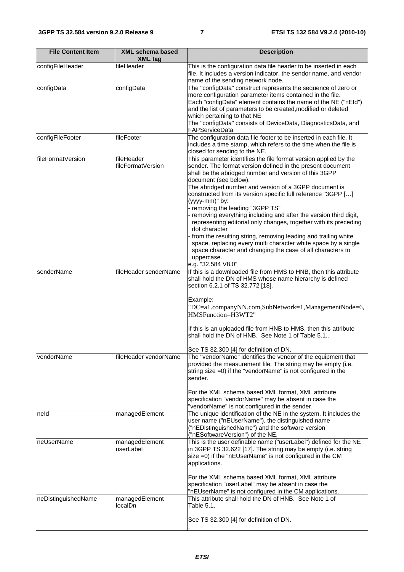| <b>File Content Item</b> | <b>XML schema based</b><br><b>XML tag</b> | <b>Description</b>                                                                                                                                                                                                                                                                                                                                                                                                                                                                                                                                                                                                                                                                                                                                                                                |
|--------------------------|-------------------------------------------|---------------------------------------------------------------------------------------------------------------------------------------------------------------------------------------------------------------------------------------------------------------------------------------------------------------------------------------------------------------------------------------------------------------------------------------------------------------------------------------------------------------------------------------------------------------------------------------------------------------------------------------------------------------------------------------------------------------------------------------------------------------------------------------------------|
| configFileHeader         | fileHeader                                | This is the configuration data file header to be inserted in each<br>file. It includes a version indicator, the sendor name, and vendor<br>name of the sending network node.                                                                                                                                                                                                                                                                                                                                                                                                                                                                                                                                                                                                                      |
| configData               | configData                                | The "configData" construct represents the sequence of zero or<br>more configuration parameter items contained in the file.<br>Each "configData" element contains the name of the NE ("nEId")<br>and the list of parameters to be created, modified or deleted<br>which pertaining to that NE<br>The "configData" consists of DeviceData, DiagnosticsData, and<br>FAPServiceData                                                                                                                                                                                                                                                                                                                                                                                                                   |
| configFileFooter         | fileFooter                                | The configuration data file footer to be inserted in each file. It<br>includes a time stamp, which refers to the time when the file is<br>closed for sending to the NE.                                                                                                                                                                                                                                                                                                                                                                                                                                                                                                                                                                                                                           |
| fileFormatVersion        | fileHeader<br>fileFormatVersion           | This parameter identifies the file format version applied by the<br>sender. The format version defined in the present document<br>shall be the abridged number and version of this 3GPP<br>document (see below).<br>The abridged number and version of a 3GPP document is<br>constructed from its version specific full reference "3GPP []<br>(yyyy-mm)" by:<br>- removing the leading "3GPP TS"<br>- removing everything including and after the version third digit,<br>representing editorial only changes, together with its preceding<br>dot character<br>from the resulting string, removing leading and trailing white<br>space, replacing every multi character white space by a single<br>space character and changing the case of all characters to<br>uppercase.<br>e.g. "32.584 V8.0" |
| senderName               | fileHeader senderName                     | If this is a downloaded file from HMS to HNB, then this attribute<br>shall hold the DN of HMS whose name hierarchy is defined<br>section 6.2.1 of TS 32.772 [18].<br>Example:<br>"DC=a1.companyNN.com,SubNetwork=1,ManagementNode=6,<br>HMSFunction=H3WT2"<br>If this is an uploaded file from HNB to HMS, then this attribute<br>shall hold the DN of HNB. See Note 1 of Table 5.1.<br>See TS 32.300 [4] for definition of DN.                                                                                                                                                                                                                                                                                                                                                                   |
| vendorName               | fileHeader vendorName                     | The "vendorName" identifies the vendor of the equipment that<br>provided the measurement file. The string may be empty (i.e.<br>string size =0) if the "vendorName" is not configured in the<br>sender.<br>For the XML schema based XML format, XML attribute<br>specification "vendorName" may be absent in case the<br>"vendorName" is not configured in the sender.                                                                                                                                                                                                                                                                                                                                                                                                                            |
| neld                     | managedElement                            | The unique identification of the NE in the system. It includes the<br>user name ("nEUserName"), the distinguished name<br>("nEDistinguishedName") and the software version<br>("nESoftwareVersion") of the NE.                                                                                                                                                                                                                                                                                                                                                                                                                                                                                                                                                                                    |
| neUserName               | managedElement<br>userLabel               | This is the user definable name ("userLabel") defined for the NE<br>in 3GPP TS 32.622 [17]. The string may be empty (i.e. string<br>size =0) if the "nEUserName" is not configured in the CM<br>applications.<br>For the XML schema based XML format, XML attribute<br>specification "userLabel" may be absent in case the                                                                                                                                                                                                                                                                                                                                                                                                                                                                        |
| neDistinguishedName      | managedElement<br>localDn                 | "nEUserName" is not configured in the CM applications.<br>This attribute shall hold the DN of HNB. See Note 1 of<br>Table 5.1.<br>See TS 32.300 [4] for definition of DN.                                                                                                                                                                                                                                                                                                                                                                                                                                                                                                                                                                                                                         |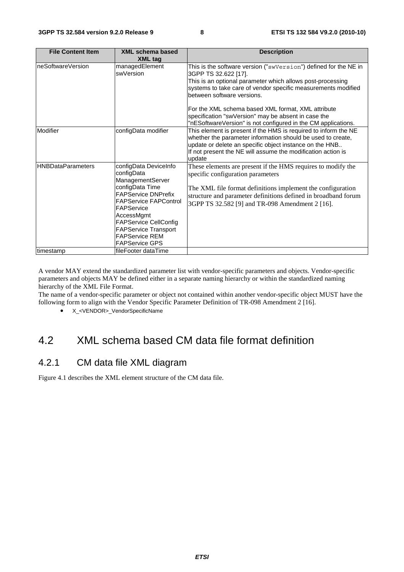| <b>File Content Item</b> | <b>XML schema based</b><br><b>XML tag</b>                                                                                                                                                                                                                                             | <b>Description</b>                                                                                                                                                                                                                                                                                                                                                                                                                  |
|--------------------------|---------------------------------------------------------------------------------------------------------------------------------------------------------------------------------------------------------------------------------------------------------------------------------------|-------------------------------------------------------------------------------------------------------------------------------------------------------------------------------------------------------------------------------------------------------------------------------------------------------------------------------------------------------------------------------------------------------------------------------------|
| neSoftwareVersion        | managedElement<br>swVersion                                                                                                                                                                                                                                                           | This is the software version ("swVersion") defined for the NE in<br>3GPP TS 32.622 [17].<br>This is an optional parameter which allows post-processing<br>systems to take care of vendor specific measurements modified<br>between software versions.<br>For the XML schema based XML format, XML attribute<br>specification "swVersion" may be absent in case the<br>"nESoftwareVersion" is not configured in the CM applications. |
| Modifier                 | configData modifier                                                                                                                                                                                                                                                                   | This element is present if the HMS is required to inform the NE<br>whether the parameter information should be used to create,<br>update or delete an specific object instance on the HNB<br>If not present the NE will assume the modification action is<br>update                                                                                                                                                                 |
| <b>HNBDataParameters</b> | configData DeviceInfo<br>configData<br>ManagementServer<br>configData Time<br><b>FAPService DNPrefix</b><br><b>FAPService FAPControl</b><br>FAPService<br>AccessMgmt<br><b>FAPService CellConfig</b><br><b>FAPService Transport</b><br><b>FAPService REM</b><br><b>FAPService GPS</b> | These elements are present if the HMS requires to modify the<br>specific configuration parameters<br>The XML file format definitions implement the configuration<br>structure and parameter definitions defined in broadband forum<br>3GPP TS 32.582 [9] and TR-098 Amendment 2 [16].                                                                                                                                               |
| timestamp                | fileFooter dataTime                                                                                                                                                                                                                                                                   |                                                                                                                                                                                                                                                                                                                                                                                                                                     |

A vendor MAY extend the standardized parameter list with vendor-specific parameters and objects. Vendor-specific parameters and objects MAY be defined either in a separate naming hierarchy or within the standardized naming hierarchy of the XML File Format.

The name of a vendor-specific parameter or object not contained within another vendor-specific object MUST have the following form to align with the Vendor Specific Parameter Definition of TR-098 Amendment 2 [16].

• X <VENDOR> VendorSpecificName

### 4.2 XML schema based CM data file format definition

### 4.2.1 CM data file XML diagram

Figure 4.1 describes the XML element structure of the CM data file.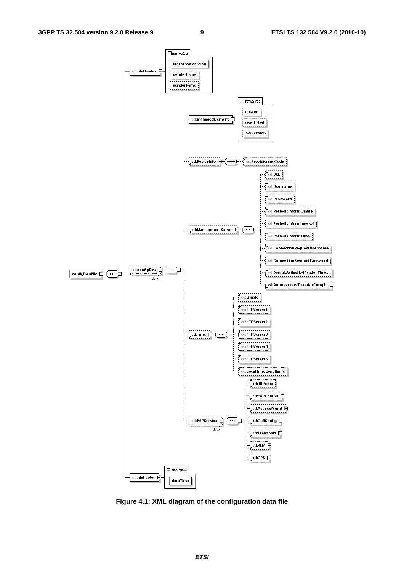

**Figure 4.1: XML diagram of the configuration data file**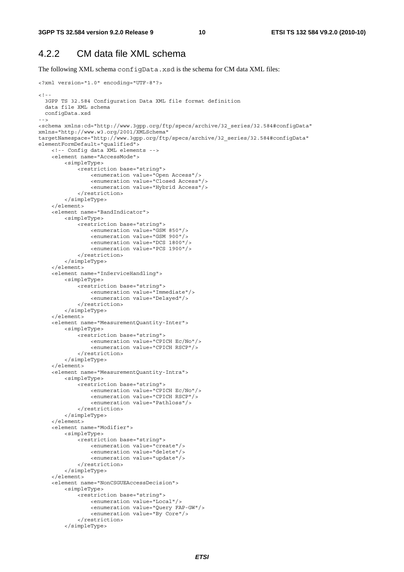### 4.2.2 CM data file XML schema

The following XML schema configData.xsd is the schema for CM data XML files:

```
<?xml version="1.0" encoding="UTF-8"?> 
<! - -
   3GPP TS 32.584 Configuration Data XML file format definition 
   data file XML schema 
  configData.xsd 
--> 
<schema xmlns:cd="http://www.3gpp.org/ftp/specs/archive/32_series/32.584#configData" 
xmlns="http://www.w3.org/2001/XMLSchema" 
targetNamespace="http://www.3gpp.org/ftp/specs/archive/32_series/32.584#configData" 
elementFormDefault="qualified"> 
     <!-- Config data XML elements --> 
     <element name="AccessMode"> 
         <simpleType> 
              <restriction base="string"> 
                  <enumeration value="Open Access"/> 
                  <enumeration value="Closed Access"/> 
                  <enumeration value="Hybrid Access"/> 
              </restriction> 
         </simpleType> 
     </element> 
     <element name="BandIndicator"> 
         <simpleType> 
              <restriction base="string"> 
                  <enumeration value="GSM 850"/> 
                  <enumeration value="GSM 900"/> 
                  <enumeration value="DCS 1800"/> 
                  <enumeration value="PCS 1900"/> 
              </restriction> 
         </simpleType> 
     </element> 
     <element name="InServiceHandling"> 
         <simpleType> 
              <restriction base="string"> 
                  <enumeration value="Immediate"/> 
                  <enumeration value="Delayed"/> 
              </restriction> 
         </simpleType> 
     </element> 
     <element name="MeasurementQuantity-Inter"> 
         <simpleType> 
              <restriction base="string"> 
                  <enumeration value="CPICH Ec/No"/> 
                  <enumeration value="CPICH RSCP"/> 
              </restriction> 
          </simpleType> 
     </element> 
     <element name="MeasurementQuantity-Intra"> 
         <simpleType> 
              <restriction base="string"> 
                  <enumeration value="CPICH Ec/No"/> 
                  <enumeration value="CPICH RSCP"/> 
                  <enumeration value="Pathloss"/> 
              </restriction> 
         </simpleType> 
     </element> 
     <element name="Modifier"> 
         <simpleType> 
              <restriction base="string"> 
                  <enumeration value="create"/> 
                  <enumeration value="delete"/> 
                  <enumeration value="update"/> 
              </restriction> 
          </simpleType> 
     </element> 
     <element name="NonCSGUEAccessDecision"> 
         <simpleType> 
              <restriction base="string"> 
                  <enumeration value="Local"/> 
                  <enumeration value="Query FAP-GW"/> 
                  <enumeration value="By Core"/> 
              </restriction> 
          </simpleType>
```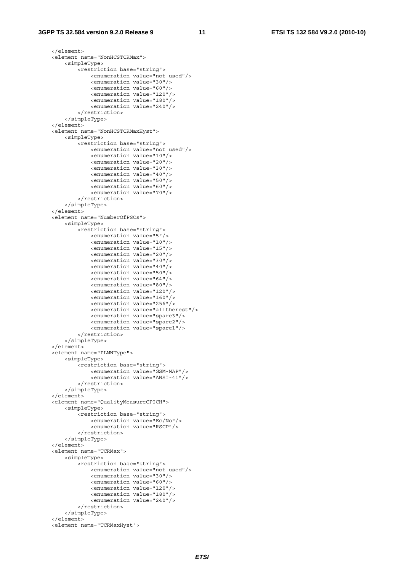#### **3GPP TS 32.584 version 9.2.0 Release 9 11 ETSI TS 132 584 V9.2.0 (2010-10)**

```
 </element> 
 <element name="NonHCSTCRMax"> 
     <simpleType> 
         <restriction base="string"> 
              <enumeration value="not used"/> 
              <enumeration value="30"/> 
              <enumeration value="60"/> 
              <enumeration value="120"/> 
              <enumeration value="180"/> 
              <enumeration value="240"/> 
         </restriction> 
     </simpleType> 
 </element> 
 <element name="NonHCSTCRMaxHyst"> 
     <simpleType> 
         <restriction base="string"> 
              <enumeration value="not used"/> 
              <enumeration value="10"/> 
              <enumeration value="20"/> 
              <enumeration value="30"/> 
              <enumeration value="40"/> 
              <enumeration value="50"/> 
              <enumeration value="60"/> 
              <enumeration value="70"/> 
         </restriction> 
     </simpleType> 
 </element> 
 <element name="NumberOfPSCs"> 
     <simpleType> 
         <restriction base="string"> 
              <enumeration value="5"/> 
              <enumeration value="10"/> 
              <enumeration value="15"/> 
              <enumeration value="20"/> 
              <enumeration value="30"/> 
              <enumeration value="40"/> 
              <enumeration value="50"/> 
              <enumeration value="64"/> 
              <enumeration value="80"/> 
              <enumeration value="120"/> 
              <enumeration value="160"/> 
              <enumeration value="256"/> 
              <enumeration value="alltherest"/> 
              <enumeration value="spare3"/> 
              <enumeration value="spare2"/> 
              <enumeration value="spare1"/> 
         </restriction> 
     </simpleType> 
 </element> 
 <element name="PLMNType"> 
     <simpleType> 
         <restriction base="string"> 
              <enumeration value="GSM-MAP"/> 
              <enumeration value="ANSI-41"/> 
         </restriction> 
     </simpleType> 
 </element> 
 <element name="QualityMeasureCPICH"> 
     <simpleType> 
         <restriction base="string"> 
              <enumeration value="Ec/No"/> 
              <enumeration value="RSCP"/> 
         </restriction> 
     </simpleType> 
\epsilon/element>
 <element name="TCRMax"> 
     <simpleType> 
         <restriction base="string"> 
              <enumeration value="not used"/> 
              <enumeration value="30"/> 
              <enumeration value="60"/> 
              <enumeration value="120"/> 
              <enumeration value="180"/> 
              <enumeration value="240"/> 
         </restriction> 
     </simpleType> 
 </element> 
 <element name="TCRMaxHyst">
```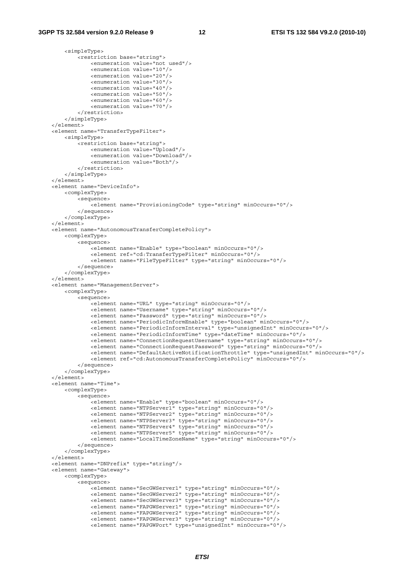```
 <simpleType> 
             <restriction base="string"> 
                 <enumeration value="not used"/> 
                 <enumeration value="10"/> 
                 <enumeration value="20"/> 
                 <enumeration value="30"/> 
                 <enumeration value="40"/> 
                 <enumeration value="50"/> 
                 <enumeration value="60"/> 
                 <enumeration value="70"/> 
             </restriction> 
         </simpleType> 
    </element> 
    <element name="TransferTypeFilter"> 
         <simpleType> 
             <restriction base="string"> 
                 <enumeration value="Upload"/> 
                 <enumeration value="Download"/> 
                 <enumeration value="Both"/> 
             </restriction> 
         </simpleType> 
    </element> 
    <element name="DeviceInfo"> 
         <complexType> 
             <sequence> 
                 <element name="ProvisioningCode" type="string" minOccurs="0"/> 
             </sequence> 
         </complexType> 
    </element> 
    <element name="AutonomousTransferCompletePolicy"> 
        <complexType> 
             <sequence> 
                .<br><element name="Enable" type="boolean" minOccurs="0"/>
                 <element ref="cd:TransferTypeFilter" minOccurs="0"/> 
                 <element name="FileTypeFilter" type="string" minOccurs="0"/> 
             </sequence> 
         </complexType> 
    </element> 
    <element name="ManagementServer"> 
         <complexType> 
             <sequence> 
                -<br><element name="URL" type="string" minOccurs="0"/>
                 <element name="Username" type="string" minOccurs="0"/> 
                 <element name="Password" type="string" minOccurs="0"/> 
                 <element name="PeriodicInformEnable" type="boolean" minOccurs="0"/> 
                 <element name="PeriodicInformInterval" type="unsignedInt" minOccurs="0"/> 
                 <element name="PeriodicInformTime" type="dateTime" minOccurs="0"/> 
                 <element name="ConnectionRequestUsername" type="string" minOccurs="0"/> 
                 <element name="ConnectionRequestPassword" type="string" minOccurs="0"/> 
                 <element name="DefaultActiveNotificationThrottle" type="unsignedInt" minOccurs="0"/> 
                 <element ref="cd:AutonomousTransferCompletePolicy" minOccurs="0"/> 
             </sequence> 
         </complexType> 
     </element> 
    <element name="Time"> 
        <complexType> 
             <sequence> 
                 <element name="Enable" type="boolean" minOccurs="0"/> 
 <element name="NTPServer1" type="string" minOccurs="0"/> 
 <element name="NTPServer2" type="string" minOccurs="0"/> 
                 <element name="NTPServer3" type="string" minOccurs="0"/> 
                 <element name="NTPServer4" type="string" minOccurs="0"/> 
                 <element name="NTPServer5" type="string" minOccurs="0"/> 
                 <element name="LocalTimeZoneName" type="string" minOccurs="0"/> 
             </sequence> 
         </complexType> 
     </element> 
    <element name="DNPrefix" type="string"/> 
    <element name="Gateway"> 
         <complexType> 
             <sequence> 
                 <element name="SecGWServer1" type="string" minOccurs="0"/> 
                 <element name="SecGWServer2" type="string" minOccurs="0"/> 
 <element name="SecGWServer3" type="string" minOccurs="0"/> 
 <element name="FAPGWServer1" type="string" minOccurs="0"/> 
                 <element name="FAPGWServer2" type="string" minOccurs="0"/> 
                 <element name="FAPGWServer3" type="string" minOccurs="0"/> 
                 <element name="FAPGWPort" type="unsignedInt" minOccurs="0"/>
```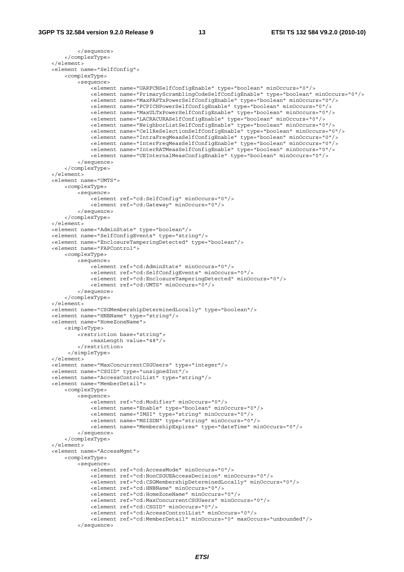```
 </sequence> 
     </complexType> 
 </element> 
 <element name="SelfConfig"> 
     <complexType> 
         <sequence> 
            -<br>-<element name="UARFCNSelfConfigEnable" type="boolean" minOccurs="0"/>
             <element name="PrimaryScramblingCodeSelfConfigEnable" type="boolean" minOccurs="0"/> 
             <element name="MaxFAPTxPowerSelfConfigEnable" type="boolean" minOccurs="0"/> 
              <element name="PCPICHPowerSelfConfigEnable" type="boolean" minOccurs="0"/> 
             <element name="MaxULTxPowerSelfConfigEnable" type="boolean" minOccurs="0"/> 
             <element name="LACRACURASelfConfigEnable" type="boolean" minOccurs="0"/> 
             <element name="NeighborListSelfConfigEnable" type="boolean" minOccurs="0"/> 
              <element name="CellReSelectionSelfConfigEnable" type="boolean" minOccurs="0"/> 
             <element name="IntraFreqMeasSelfConfigEnable" type="boolean" minOccurs="0"/> 
             <element name="InterFreqMeasSelfConfigEnable" type="boolean" minOccurs="0"/> 
             <element name="InterRATMeasSelfConfigEnable" type="boolean" minOccurs="0"/> 
              <element name="UEInternalMeasConfigEnable" type="boolean" minOccurs="0"/> 
         </sequence> 
     </complexType> 
 </element> 
 <element name="UMTS"> 
     <complexType> 
         <sequence> 
            .<br><element ref="cd:SelfConfig" minOccurs="0"/>
              <element ref="cd:Gateway" minOccurs="0"/> 
         </sequence> 
     </complexType> 
 </element> 
 <element name="AdminState" type="boolean"/> 
 <element name="SelfConfigEvents" type="string"/> 
 <element name="EnclosureTamperingDetected" type="boolean"/> 
 <element name="FAPControl"> 
     <complexType> 
         <sequence> 
             <element ref="cd:AdminState" minOccurs="0"/> 
              <element ref="cd:SelfConfigEvents" minOccurs="0"/> 
             <element ref="cd:EnclosureTamperingDetected" minOccurs="0"/> 
             <element ref="cd:UMTS" minOccurs="0"/> 
         </sequence> 
     </complexType> 
 </element> 
 <element name="CSGMembershipDeterminedLocally" type="boolean"/> 
 <element name="HNBName" type="string"/> 
 <element name="HomeZoneName"> 
     <simpleType> 
         <restriction base="string"> 
             <maxLength value="48"/> 
         </restriction> 
      </simpleType> 
 </element> 
 <element name="MaxConcurrentCSGUsers" type="integer"/> 
 <element name="CSGID" type="unsignedInt"/> 
 <element name="AccessControlList" type="string"/> 
 <element name="MemberDetail"> 
     <complexType> 
         <sequence> 
             <element ref="cd:Modifier" minOccurs="0"/> 
              <element name="Enable" type="boolean" minOccurs="0"/> 
             <element name="IMSI" type="string" minOccurs="0"/> 
             <element name="MSISDN" type="string" minOccurs="0"/> 
              <element name="MembershipExpires" type="dateTime" minOccurs="0"/> 
         </sequence> 
     </complexType> 
\epsilon/elements
 <element name="AccessMgmt"> 
     <complexType> 
         <sequence> 
             <element ref="cd:AccessMode" minOccurs="0"/> 
              <element ref="cd:NonCSGUEAccessDecision" minOccurs="0"/> 
              <element ref="cd:CSGMembershipDeterminedLocally" minOccurs="0"/> 
             <element ref="cd:HNBName" minOccurs="0"/> 
             <element ref="cd:HomeZoneName" minOccurs="0"/> 
             <element ref="cd:MaxConcurrentCSGUsers" minOccurs="0"/> 
              <element ref="cd:CSGID" minOccurs="0"/> 
              <element ref="cd:AccessControlList" minOccurs="0"/> 
             <element ref="cd:MemberDetail" minOccurs="0" maxOccurs="unbounded"/> 
         </sequence>
```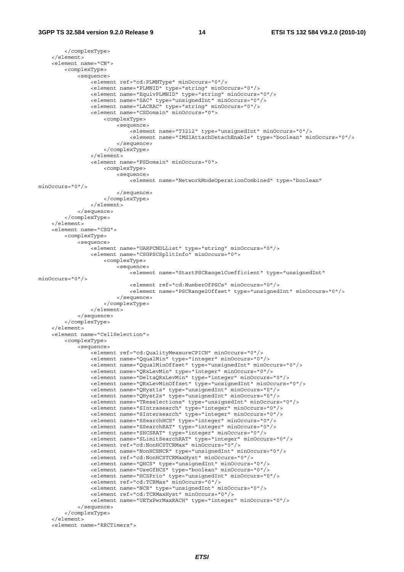```
 </complexType> 
     </element> 
     <element name="CN"> 
         <complexType> 
             <sequence> 
                 <element ref="cd:PLMNType" minOccurs="0"/> 
                  <element name="PLMNID" type="string" minOccurs="0"/> 
                 <element name="EquivPLMNID" type="string" minOccurs="0"/> 
                 <element name="SAC" type="unsignedInt" minOccurs="0"/> 
                  <element name="LACRAC" type="string" minOccurs="0"/> 
                 <element name="CSDomain" minOccurs="0"> 
                      <complexType> 
                          <sequence> 
                              <element name="T3212" type="unsignedInt" minOccurs="0"/> 
                              <element name="IMSIAttachDetachEnable" type="boolean" minOccurs="0"/> 
                          </sequence> 
                      </complexType> 
                  </element> 
                  <element name="PSDomain" minOccurs="0"> 
                      <complexType> 
                          <sequence> 
                              <element name="NetworkModeOperationCombined" type="boolean" 
minOccurs="0"/> 
                          </sequence> 
                      </complexType> 
                 </element> 
             </sequence> 
         </complexType> 
     </element> 
     <element name="CSG"> 
         <complexType> 
             <sequence> 
                .<br><element name="UARFCNDLList" type="string" minOccurs="0"/>
                  <element name="CSGPSCSplitInfo" minOccurs="0"> 
                      <complexType> 
                         <sequence> 
                             -<br><element name="StartPSCRange1Coefficient" type="unsignedInt"
minOccurs="0"/> 
                              <element ref="cd:NumberOfPSCs" minOccurs="0"/> 
                              <element name="PSCRange2Offset" type="unsignedInt" minOccurs="0"/> 
                          </sequence> 
                      </complexType> 
                 </element> 
             </sequence> 
         </complexType> 
     </element> 
     <element name="CellSelection"> 
         <complexType> 
             <sequence> 
                .<br><element ref="cd:QualityMeasureCPICH" minOccurs="0"/>
                  <element name="QqualMin" type="integer" minOccurs="0"/> 
                 <element name="QqualMinOffset" type="unsignedInt" minOccurs="0"/> 
                  <element name="QRxLevMin" type="integer" minOccurs="0"/> 
                  <element name="DeltaQRxLevMin" type="integer" minOccurs="0"/> 
                 <element name="QRxLevMinOffset" type="unsignedInt" minOccurs="0"/> 
 <element name="QHyst1s" type="unsignedInt" minOccurs="0"/> 
 <element name="QHyst2s" type="unsignedInt" minOccurs="0"/> 
                 <element name="TReselections" type="unsignedInt" minOccurs="0"/> 
 <element name="SIntrasearch" type="integer" minOccurs="0"/> 
 <element name="SIntersearch" type="integer" minOccurs="0"/> 
                 <element name="SSearchHCS" type="integer" minOccurs="0"/> 
                  <element name="SSearchRAT" type="integer" minOccurs="0"/> 
                 <element name="SHCSRAT" type="integer" minOccurs="0"/> 
                 <element name="SLimitSearchRAT" type="integer" minOccurs="0"/> 
                 <element ref="cd:NonHCSTCRMax" minOccurs="0"/> 
                 <element name="NonHCSNCR" type="unsignedInt" minOccurs="0"/> 
                  <element ref="cd:NonHCSTCRMaxHyst" minOccurs="0"/> 
                 <element name="QHCS" type="unsignedInt" minOccurs="0"/> 
                 <element name="UseOfHCS" type="boolean" minOccurs="0"/> 
                  <element name="HCSPrio" type="unsignedInt" minOccurs="0"/> 
                  <element ref="cd:TCRMax" minOccurs="0"/> 
                  <element name="NCR" type="unsignedInt" minOccurs="0"/> 
                 <element ref="cd:TCRMaxHyst" minOccurs="0"/> 
                 <element name="UETxPwrMaxRACH" type="integer" minOccurs="0"/> 
             </sequence> 
         </complexType> 
     </element> 
     <element name="RRCTimers">
```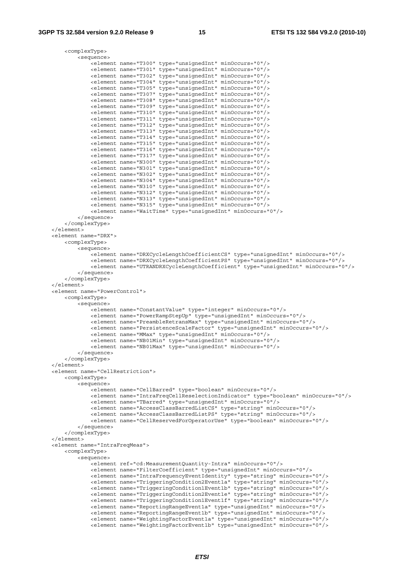```
 <complexType> 
             <sequence> 
                 .<br><element name="T300" type="unsignedInt" minOccurs="0"/>
                  <element name="T301" type="unsignedInt" minOccurs="0"/> 
                  <element name="T302" type="unsignedInt" minOccurs="0"/> 
                  <element name="T304" type="unsignedInt" minOccurs="0"/> 
                  <element name="T305" type="unsignedInt" minOccurs="0"/> 
                  <element name="T307" type="unsignedInt" minOccurs="0"/> 
                  <element name="T308" type="unsignedInt" minOccurs="0"/> 
                  <element name="T309" type="unsignedInt" minOccurs="0"/> 
                  <element name="T310" type="unsignedInt" minOccurs="0"/> 
                  <element name="T311" type="unsignedInt" minOccurs="0"/> 
                  <element name="T312" type="unsignedInt" minOccurs="0"/> 
                  <element name="T313" type="unsignedInt" minOccurs="0"/> 
                  <element name="T314" type="unsignedInt" minOccurs="0"/> 
                  <element name="T315" type="unsignedInt" minOccurs="0"/> 
                  <element name="T316" type="unsignedInt" minOccurs="0"/> 
                  <element name="T317" type="unsignedInt" minOccurs="0"/> 
                  <element name="N300" type="unsignedInt" minOccurs="0"/> 
                  <element name="N301" type="unsignedInt" minOccurs="0"/> 
                  <element name="N302" type="unsignedInt" minOccurs="0"/> 
                  <element name="N304" type="unsignedInt" minOccurs="0"/> 
                  <element name="N310" type="unsignedInt" minOccurs="0"/> 
                  <element name="N312" type="unsignedInt" minOccurs="0"/> 
                  <element name="N313" type="unsignedInt" minOccurs="0"/> 
                  <element name="N315" type="unsignedInt" minOccurs="0"/> 
                  <element name="WaitTime" type="unsignedInt" minOccurs="0"/> 
             </sequence> 
         </complexType> 
   \geq/element\sim <element name="DRX"> 
         <complexType> 
             <sequence> 
                  <element name="DRXCycleLengthCoefficientCS" type="unsignedInt" minOccurs="0"/> 
                  <element name="DRXCycleLengthCoefficientPS" type="unsignedInt" minOccurs="0"/> 
                  <element name="UTRANDRXCycleLengthCoefficient" type="unsignedInt" minOccurs="0"/> 
             </sequence> 
         </complexType> 
     </element> 
     <element name="PowerControl"> 
         <complexType> 
             <sequence> 
                  <element name="ConstantValue" type="integer" minOccurs="0"/> 
                  <element name="PowerRampStepUp" type="unsignedInt" minOccurs="0"/> 
                  <element name="PreambleRetransMax" type="unsignedInt" minOccurs="0"/> 
                  <element name="PersistenceScaleFactor" type="unsignedInt" minOccurs="0"/> 
                  <element name="MMax" type="unsignedInt" minOccurs="0"/> 
                  <element name="NB01Min" type="unsignedInt" minOccurs="0"/> 
                  <element name="NB01Max" type="unsignedInt" minOccurs="0"/> 
             </sequence> 
         </complexType> 
     </element> 
     <element name="CellRestriction"> 
         <complexType> 
             <sequence> 
                  <element name="CellBarred" type="boolean" minOccurs="0"/> 
                  <element name="IntraFreqCellReselectionIndicator" type="boolean" minOccurs="0"/> 
                  <element name="TBarred" type="unsignedInt" minOccurs="0"/> 
                  <element name="AccessClassBarredListCS" type="string" minOccurs="0"/> 
                  <element name="AccessClassBarredListPS" type="string" minOccurs="0"/> 
                  <element name="CellReservedForOperatorUse" type="boolean" minOccurs="0"/> 
             </sequence> 
         </complexType> 
    </element> 
     <element name="IntraFreqMeas"> 
         <complexType> 
             <sequence> 
                 <element ref="cd:MeasurementQuantity-Intra" minOccurs="0"/> 
                  <element name="FilterCoefficient" type="unsignedInt" minOccurs="0"/> 
                  <element name="IntraFrequencyEventIdentity" type="string" minOccurs="0"/> 
                  <element name="TriggeringCondition2Event1a" type="string" minOccurs="0"/> 
                  <element name="TriggeringCondition1Event1b" type="string" minOccurs="0"/> 
                  <element name="TriggeringCondition2Event1e" type="string" minOccurs="0"/> 
                  <element name="TriggeringCondition1Event1f" type="string" minOccurs="0"/> 
 <element name="ReportingRangeEvent1a" type="unsignedInt" minOccurs="0"/> 
 <element name="ReportingRangeEvent1b" type="unsignedInt" minOccurs="0"/> 
                  <element name="WeightingFactorEvent1a" type="unsignedInt" minOccurs="0"/> 
                 \text{N} . The main term is the set of the set of the set of the set of the set of the set of the set of the set of the set of the set of the set of the set of the set of the set of the set of the set of the set of the set
```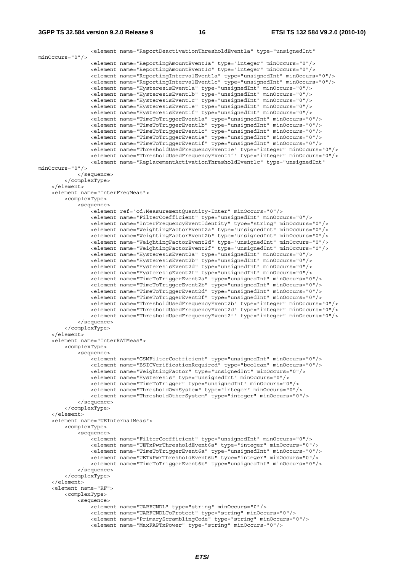```
 <element name="ReportDeactivationThresholdEvent1a" type="unsignedInt" 
minOccurs="0"/> 
                 <element name="ReportingAmountEvent1a" type="integer" minOccurs="0"/> 
                 <element name="ReportingAmountEvent1c" type="integer" minOccurs="0"/> 
                 <element name="ReportingIntervalEvent1a" type="unsignedInt" minOccurs="0"/> 
                 <element name="ReportingIntervalEvent1c" type="unsignedInt" minOccurs="0"/> 
 <element name="HysteresisEvent1a" type="unsignedInt" minOccurs="0"/> 
 <element name="HysteresisEvent1b" type="unsignedInt" minOccurs="0"/> 
                 <element name="HysteresisEvent1c" type="unsignedInt" minOccurs="0"/> 
                 <element name="HysteresisEvent1e" type="unsignedInt" minOccurs="0"/> 
                 <element name="HysteresisEvent1f" type="unsignedInt" minOccurs="0"/> 
 <element name="TimeToTriggerEvent1a" type="unsignedInt" minOccurs="0"/> 
 <element name="TimeToTriggerEvent1b" type="unsignedInt" minOccurs="0"/> 
                 <element name="TimeToTriggerEvent1c" type="unsignedInt" minOccurs="0"/> 
 <element name="TimeToTriggerEvent1e" type="unsignedInt" minOccurs="0"/> 
 <element name="TimeToTriggerEvent1f" type="unsignedInt" minOccurs="0"/> 
 <element name="ThresholdUsedFrequencyEvent1e" type="integer" minOccurs="0"/> 
 <element name="ThresholdUsedFrequencyEvent1f" type="integer" minOccurs="0"/> 
                 <element name="ReplacementActivationThresholdEvent1c" type="unsignedInt" 
minOccurs="0"/> 
            </sequence> 
         </complexType> 
     </element> 
     <element name="InterFreqMeas"> 
         <complexType> 
             <sequence> 
                 <element ref="cd:MeasurementQuantity-Inter" minOccurs="0"/> 
                 <element name="FilterCoefficient" type="unsignedInt" minOccurs="0"/> 
                 <element name="InterFrequencyEventIdentity" type="string" minOccurs="0"/> 
                 <element name="WeightingFactorEvent2a" type="unsignedInt" minOccurs="0"/> 
                 <element name="WeightingFactorEvent2b" type="unsignedInt" minOccurs="0"/> 
                 <element name="WeightingFactorEvent2d" type="unsignedInt" minOccurs="0"/> 
                 <element name="WeightingFactorEvent2f" type="unsignedInt" minOccurs="0"/> 
                 <element name="HysteresisEvent2a" type="unsignedInt" minOccurs="0"/> 
                 <element name="HysteresisEvent2b" type="unsignedInt" minOccurs="0"/> 
 <element name="HysteresisEvent2d" type="unsignedInt" minOccurs="0"/> 
 <element name="HysteresisEvent2f" type="unsignedInt" minOccurs="0"/> 
 <element name="TimeToTriggerEvent2a" type="unsignedInt" minOccurs="0"/> 
 <element name="TimeToTriggerEvent2b" type="unsignedInt" minOccurs="0"/> 
                 <element name="TimeToTriggerEvent2d" type="unsignedInt" minOccurs="0"/> 
                 <element name="TimeToTriggerEvent2f" type="unsignedInt" minOccurs="0"/> 
                 <element name="ThresholdUsedFrequencyEvent2b" type="integer" minOccurs="0"/> 
                 <element name="ThresholdUsedFrequencyEvent2d" type="integer" minOccurs="0"/> 
                 <element name="ThresholdUsedFrequencyEvent2f" type="integer" minOccurs="0"/> 
             </sequence> 
         </complexType> 
     </element> 
     <element name="InterRATMeas"> 
         <complexType> 
             <sequence> 
                -<br>-<element name="GSMFilterCoefficient" type="unsignedInt" minOccurs="0"/>
                 <element name="BSICVerificationRequired" type="boolean" minOccurs="0"/> 
                 <element name="WeightingFactor" type="unsignedInt" minOccurs="0"/> 
                 <element name="Hysteresis" type="unsignedInt" minOccurs="0"/> 
                 <element name="TimeToTrigger" type="unsignedInt" minOccurs="0"/> 
                 <element name="ThresholdOwnSystem" type="integer" minOccurs="0"/> 
                 <element name="ThresholdOtherSystem" type="integer" minOccurs="0"/> 
             </sequence> 
         </complexType> 
    \epsilon/element>
     <element name="UEInternalMeas"> 
         <complexType> 
             <sequence> 
                 <element name="FilterCoefficient" type="unsignedInt" minOccurs="0"/> 
                 <element name="UETxPwrThresholdEvent6a" type="integer" minOccurs="0"/> 
                 <element name="TimeToTriggerEvent6a" type="unsignedInt" minOccurs="0"/> 
                 <element name="UETxPwrThresholdEvent6b" type="integer" minOccurs="0"/> 
                 <element name="TimeToTriggerEvent6b" type="unsignedInt" minOccurs="0"/> 
             </sequence> 
         </complexType> 
     </element> 
     <element name="RF"> 
        <complexType> 
             <sequence> 
                 <element name="UARFCNDL" type="string" minOccurs="0"/> 
                 <element name="UARFCNDLToProtect" type="string" minOccurs="0"/> 
                 <element name="PrimaryScramblingCode" type="string" minOccurs="0"/> 
                 <element name="MaxFAPTxPower" type="string" minOccurs="0"/>
```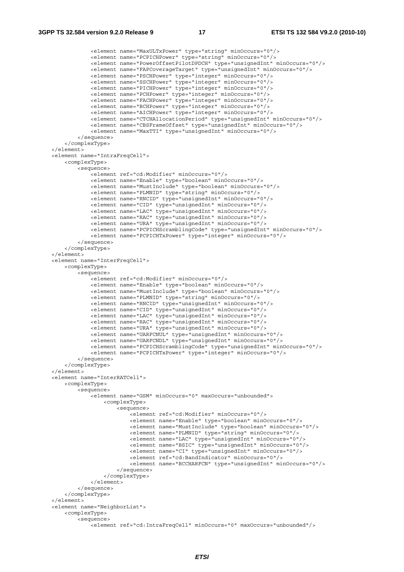```
 <element name="MaxULTxPower" type="string" minOccurs="0"/> 
                 <element name="PCPICHPower" type="string" minOccurs="0"/> 
                 <element name="PowerOffsetPilotDPDCH" type="unsignedInt" minOccurs="0"/> 
                 <element name="FAPCoverageTarget" type="unsignedInt" minOccurs="0"/> 
                 <element name="PSCHPower" type="integer" minOccurs="0"/> 
                 <element name="SSCHPower" type="integer" minOccurs="0"/> 
                 <element name="PICHPower" type="integer" minOccurs="0"/> 
                 <element name="PCHPower" type="integer" minOccurs="0"/> 
                 <element name="FACHPower" type="integer" minOccurs="0"/> 
                 <element name="BCHPower" type="integer" minOccurs="0"/> 
                 <element name="AICHPower" type="integer" minOccurs="0"/> 
 <element name="CTCHAllocationPeriod" type="unsignedInt" minOccurs="0"/> 
 <element name="CBSFrameOffset" type="unsignedInt" minOccurs="0"/> 
                 <element name="MaxTTI" type="unsignedInt" minOccurs="0"/> 
             </sequence> 
         </complexType> 
    </element> 
     <element name="IntraFreqCell"> 
         <complexType> 
             <sequence> 
                .<br><element ref="cd:Modifier" minOccurs="0"/>
                 <element name="Enable" type="boolean" minOccurs="0"/> 
                 <element name="MustInclude" type="boolean" minOccurs="0"/> 
                 <element name="PLMNID" type="string" minOccurs="0"/> 
                 <element name="RNCID" type="unsignedInt" minOccurs="0"/> 
                 <element name="CID" type="unsignedInt" minOccurs="0"/> 
                 <element name="LAC" type="unsignedInt" minOccurs="0"/> 
                 <element name="RAC" type="unsignedInt" minOccurs="0"/> 
                 <element name="URA" type="unsignedInt" minOccurs="0"/> 
                 <element name="PCPICHScramblingCode" type="unsignedInt" minOccurs="0"/> 
                 <element name="PCPICHTxPower" type="integer" minOccurs="0"/> 
             </sequence> 
         </complexType> 
     </element> 
     <element name="InterFreqCell"> 
        <complexType> 
             <sequence> 
                 <element ref="cd:Modifier" minOccurs="0"/> 
                 <element name="Enable" type="boolean" minOccurs="0"/> 
                 <element name="MustInclude" type="boolean" minOccurs="0"/> 
                 <element name="PLMNID" type="string" minOccurs="0"/> 
                 <element name="RNCID" type="unsignedInt" minOccurs="0"/> 
                 <element name="CID" type="unsignedInt" minOccurs="0"/> 
                 <element name="LAC" type="unsignedInt" minOccurs="0"/> 
                 <element name="RAC" type="unsignedInt" minOccurs="0"/> 
                 <element name="URA" type="unsignedInt" minOccurs="0"/> 
                 <element name="UARFCNUL" type="unsignedInt" minOccurs="0"/> 
                 <element name="UARFCNDL" type="unsignedInt" minOccurs="0"/> 
                 <element name="PCPICHScramblingCode" type="unsignedInt" minOccurs="0"/> 
                 <element name="PCPICHTxPower" type="integer" minOccurs="0"/> 
             </sequence> 
         </complexType> 
     </element> 
     <element name="InterRATCell"> 
         <complexType> 
             <sequence> 
                 <element name="GSM" minOccurs="0" maxOccurs="unbounded"> 
                     <complexType> 
                         <sequence> 
                             -<br><element ref="cd:Modifier" minOccurs="0"/>
                              <element name="Enable" type="boolean" minOccurs="0"/> 
                              <element name="MustInclude" type="boolean" minOccurs="0"/> 
                              <element name="PLMNID" type="string" minOccurs="0"/> 
                              <element name="LAC" type="unsignedInt" minOccurs="0"/> 
                              <element name="BSIC" type="unsignedInt" minOccurs="0"/> 
                              <element name="CI" type="unsignedInt" minOccurs="0"/> 
                              <element ref="cd:BandIndicator" minOccurs="0"/> 
                              <element name="BCCHARFCN" type="unsignedInt" minOccurs="0"/> 
                         </sequence> 
                      </complexType> 
                 </element> 
             </sequence> 
         </complexType> 
    </element> 
     <element name="NeighborList"> 
         <complexType> 
             <sequence> 
                .<br><element ref="cd:IntraFreqCell" minOccurs="0" maxOccurs="unbounded"/>
```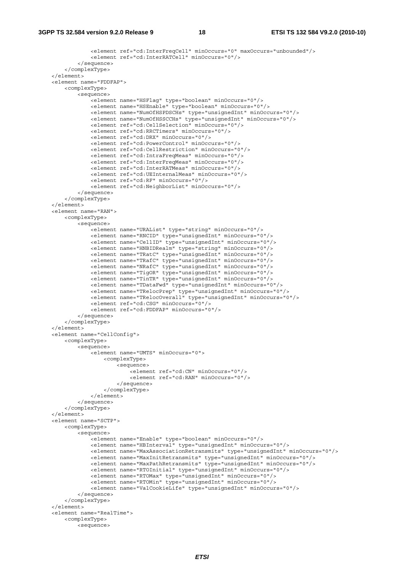```
 <element ref="cd:InterFreqCell" minOccurs="0" maxOccurs="unbounded"/> 
             <element ref="cd:InterRATCell" minOccurs="0"/> 
         </sequence> 
     </complexType> 
 </element> 
 <element name="FDDFAP"> 
     <complexType> 
         <sequence> 
             <element name="HSFlag" type="boolean" minOccurs="0"/> 
              <element name="HSEnable" type="boolean" minOccurs="0"/> 
             <element name="NumOfHSPDSCHs" type="unsignedInt" minOccurs="0"/> 
             <element name="NumOfHSSCCHs" type="unsignedInt" minOccurs="0"/> 
             <element ref="cd:CellSelection" minOccurs="0"/> 
              <element ref="cd:RRCTimers" minOccurs="0"/> 
              <element ref="cd:DRX" minOccurs="0"/> 
              <element ref="cd:PowerControl" minOccurs="0"/> 
              <element ref="cd:CellRestriction" minOccurs="0"/> 
              <element ref="cd:IntraFreqMeas" minOccurs="0"/> 
              <element ref="cd:InterFreqMeas" minOccurs="0"/> 
              <element ref="cd:InterRATMeas" minOccurs="0"/> 
             <element ref="cd:UEInternalMeas" minOccurs="0"/> 
             <element ref="cd:RF" minOccurs="0"/> 
              <element ref="cd:NeighborList" minOccurs="0"/> 
         </sequence> 
     </complexType> 
 </element> 
 <element name="RAN"> 
     <complexType> 
         <sequence> 
            -<br><element name="URAList" type="string" minOccurs="0"/>
              <element name="RNCID" type="unsignedInt" minOccurs="0"/> 
              <element name="CellID" type="unsignedInt" minOccurs="0"/> 
             <element name="HNBIDRealm" type="string" minOccurs="0"/> 
             <element name="TRatC" type="unsignedInt" minOccurs="0"/> 
              <element name="TRafC" type="unsignedInt" minOccurs="0"/> 
              <element name="NRafC" type="unsignedInt" minOccurs="0"/> 
             <element name="TigOR" type="unsignedInt" minOccurs="0"/> 
             <element name="TinTR" type="unsignedInt" minOccurs="0"/> 
             <element name="TDataFwd" type="unsignedInt" minOccurs="0"/> 
              <element name="TRelocPrep" type="unsignedInt" minOccurs="0"/> 
              <element name="TRelocOverall" type="unsignedInt" minOccurs="0"/> 
             <element ref="cd:CSG" minOccurs="0"/> 
              <element ref="cd:FDDFAP" minOccurs="0"/> 
         </sequence> 
     </complexType> 
 </element> 
 <element name="CellConfig"> 
     <complexType> 
         <sequence> 
             <element name="UMTS" minOccurs="0"> 
                  <complexType> 
                      <sequence> 
                         .<br><element ref="cd:CN" minOccurs="0"/>
                           <element ref="cd:RAN" minOccurs="0"/> 
                      </sequence> 
                  </complexType> 
             </element> 
         </sequence> 
     </complexType> 
\epsilon/element>
 <element name="SCTP"> 
     <complexType> 
         <sequence> 
             <element name="Enable" type="boolean" minOccurs="0"/> 
              <element name="HBInterval" type="unsignedInt" minOccurs="0"/> 
             <element name="MaxAssociationRetransmits" type="unsignedInt" minOccurs="0"/> 
              <element name="MaxInitRetransmits" type="unsignedInt" minOccurs="0"/> 
             <element name="MaxPathRetransmits" type="unsignedInt" minOccurs="0"/> 
             <element name="RTOInitial" type="unsignedInt" minOccurs="0"/> 
              <element name="RTOMax" type="unsignedInt" minOccurs="0"/> 
             <element name="RTOMin" type="unsignedInt" minOccurs="0"/> 
             <element name="ValCookieLife" type="unsignedInt" minOccurs="0"/> 
         </sequence> 
     </complexType> 
 </element> 
 <element name="RealTime"> 
     <complexType> 
         <sequence>
```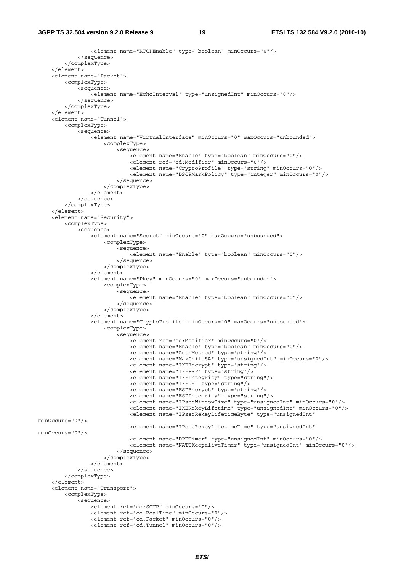#### **3GPP TS 32.584 version 9.2.0 Release 9 19 ETSI TS 132 584 V9.2.0 (2010-10)**

```
 <element name="RTCPEnable" type="boolean" minOccurs="0"/> 
              </sequence> 
         </complexType> 
     </element> 
     <element name="Packet"> 
         <complexType> 
              <sequence> 
                  <element name="EchoInterval" type="unsignedInt" minOccurs="0"/> 
              </sequence> 
          </complexType> 
     </element> 
     <element name="Tunnel"> 
         <complexType> 
              <sequence> 
                 .<br><element name="VirtualInterface" minOccurs="0" maxOccurs="unbounded">
                      <complexType> 
                           <sequence> 
                               <element name="Enable" type="boolean" minOccurs="0"/> 
                               <element ref="cd:Modifier" minOccurs="0"/> 
                               <element name="CryptoProfile" type="string" minOccurs="0"/> 
                               <element name="DSCPMarkPolicy" type="integer" minOccurs="0"/> 
                           </sequence> 
                       </complexType> 
                  </element> 
              </sequence> 
         </complexType> 
     </element> 
     <element name="Security"> 
         <complexType> 
              <sequence> 
                 .<br><element name="Secret" minOccurs="0" maxOccurs="unbounded">
                      <complexType> 
                           <sequence> 
                               <element name="Enable" type="boolean" minOccurs="0"/> 
                           </sequence> 
                       </complexType> 
                  </element> 
                  <element name="Pkey" minOccurs="0" maxOccurs="unbounded"> 
                      <complexType> 
                           <sequence> 
                               <element name="Enable" type="boolean" minOccurs="0"/> 
                           </sequence> 
                      </complexType> 
                  </element> 
                  <element name="CryptoProfile" minOccurs="0" maxOccurs="unbounded"> 
                      <complexType> 
                           <sequence> 
                               <element ref="cd:Modifier" minOccurs="0"/> 
                               <element name="Enable" type="boolean" minOccurs="0"/> 
                               <element name="AuthMethod" type="string"/> 
                               <element name="MaxChildSA" type="unsignedInt" minOccurs="0"/> 
                               <element name="IKEEncrypt" type="string"/> 
                               <element name="IKEPRF" type="string"/> 
                               <element name="IKEIntegrity" type="string"/> 
                               <element name="IKEDH" type="string"/> 
                               <element name="ESPEncrypt" type="string"/> 
                               <element name="ESPIntegrity" type="string"/> 
                               <element name="IPsecWindowSize" type="unsignedInt" minOccurs="0"/> 
                               <element name="IKERekeyLifetime" type="unsignedInt" minOccurs="0"/> 
                               <element name="IPsecRekeyLifetimeByte" type="unsignedInt" 
minOccurs="0"/> 
                               <element name="IPsecRekeyLifetimeTime" type="unsignedInt" 
minOccurs="0"/> 
                               <element name="DPDTimer" type="unsignedInt" minOccurs="0"/> 
                               <element name="NATTKeepaliveTimer" type="unsignedInt" minOccurs="0"/> 
                           </sequence> 
                      </complexType> 
                  </element> 
              </sequence> 
          </complexType> 
     </element> 
     <element name="Transport"> 
         <complexType> 
              <sequence> 
                  <element ref="cd:SCTP" minOccurs="0"/> 
                  <element ref="cd:RealTime" minOccurs="0"/> 
                  <element ref="cd:Packet" minOccurs="0"/> 
                  <element ref="cd:Tunnel" minOccurs="0"/>
```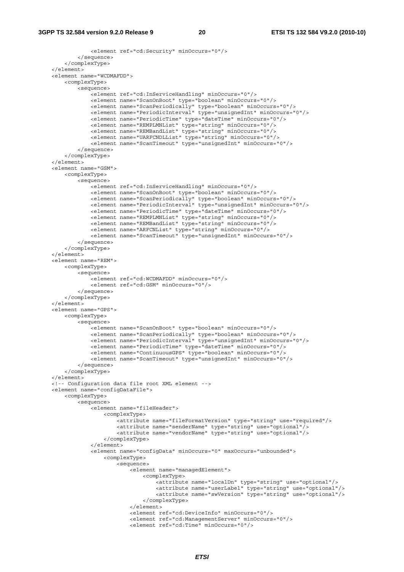#### **3GPP TS 32.584 version 9.2.0 Release 9 20 ETSI TS 132 584 V9.2.0 (2010-10)**

```
 <element ref="cd:Security" minOccurs="0"/> 
         </sequence> 
     </complexType> 
 </element> 
 <element name="WCDMAFDD"> 
     <complexType> 
         <sequence> 
             <element ref="cd:InServiceHandling" minOccurs="0"/> 
              <element name="ScanOnBoot" type="boolean" minOccurs="0"/> 
              <element name="ScanPeriodically" type="boolean" minOccurs="0"/> 
             <element name="PeriodicInterval" type="unsignedInt" minOccurs="0"/> 
             <element name="PeriodicTime" type="dateTime" minOccurs="0"/> 
             <element name="REMPLMNList" type="string" minOccurs="0"/> 
              <element name="REMBandList" type="string" minOccurs="0"/> 
             <element name="UARFCNDLList" type="string" minOccurs="0"/> 
             <element name="ScanTimeout" type="unsignedInt" minOccurs="0"/> 
         </sequence> 
     </complexType> 
 </element> 
 <element name="GSM"> 
     <complexType> 
         <sequence> 
              <element ref="cd:InServiceHandling" minOccurs="0"/> 
              <element name="ScanOnBoot" type="boolean" minOccurs="0"/> 
             <element name="ScanPeriodically" type="boolean" minOccurs="0"/> 
              <element name="PeriodicInterval" type="unsignedInt" minOccurs="0"/> 
              <element name="PeriodicTime" type="dateTime" minOccurs="0"/> 
             <element name="REMPLMNList" type="string" minOccurs="0"/> 
             <element name="REMBandList" type="string" minOccurs="0"/> 
             <element name="ARFCNList" type="string" minOccurs="0"/> 
             <element name="ScanTimeout" type="unsignedInt" minOccurs="0"/> 
         </sequence> 
     </complexType> 
 </element> 
 <element name="REM"> 
     <complexType> 
         <sequence> 
             <element ref="cd:WCDMAFDD" minOccurs="0"/> 
             <element ref="cd:GSM" minOccurs="0"/> 
         </sequence> 
     </complexType> 
 </element> 
 <element name="GPS"> 
     <complexType> 
         <sequence> 
             <element name="ScanOnBoot" type="boolean" minOccurs="0"/> 
              <element name="ScanPeriodically" type="boolean" minOccurs="0"/> 
              <element name="PeriodicInterval" type="unsignedInt" minOccurs="0"/> 
              <element name="PeriodicTime" type="dateTime" minOccurs="0"/> 
             <element name="ContinuousGPS" type="boolean" minOccurs="0"/> 
             <element name="ScanTimeout" type="unsignedInt" minOccurs="0"/> 
         </sequence> 
     </complexType> 
 </element> 
 <!-- Configuration data file root XML element --> 
 <element name="configDataFile"> 
     <complexType> 
         <sequence> 
             <element name="fileHeader"> 
                  <complexType> 
                      <attribute name="fileFormatVersion" type="string" use="required"/> 
                      <attribute name="senderName" type="string" use="optional"/> 
                      <attribute name="vendorName" type="string" use="optional"/> 
                  </complexType> 
            \epsilon/element>
              <element name="configData" minOccurs="0" maxOccurs="unbounded"> 
                  <complexType> 
                      <sequence> 
                          <element name="managedElement"> 
                               <complexType> 
                                   <attribute name="localDn" type="string" use="optional"/> 
                                   <attribute name="userLabel" type="string" use="optional"/> 
                                   <attribute name="swVersion" type="string" use="optional"/> 
                               </complexType> 
                           </element> 
                          <element ref="cd:DeviceInfo" minOccurs="0"/> 
                          <element ref="cd:ManagementServer" minOccurs="0"/> 
                          <element ref="cd:Time" minOccurs="0"/>
```

```
ETSI
```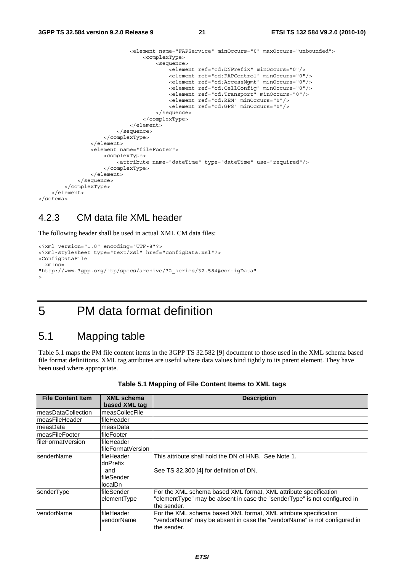```
 <element name="FAPService" minOccurs="0" maxOccurs="unbounded"> 
                                <complexType> 
                                    <sequence> 
                                       <element ref="cd:DNPrefix" minOccurs="0"/> 
                                       <element ref="cd:FAPControl" minOccurs="0"/> 
                                       <element ref="cd:AccessMgmt" minOccurs="0"/> 
 <element ref="cd:CellConfig" minOccurs="0"/> 
 <element ref="cd:Transport" minOccurs="0"/> 
                                       <element ref="cd:REM" minOccurs="0"/> 
                                       <element ref="cd:GPS" minOccurs="0"/> 
                                   </sequence> 
                                </complexType> 
                            </element> 
                        </sequence> 
                    </complexType> 
                </element> 
                <element name="fileFooter"> 
                    <complexType> 
                       <attribute name="dateTime" type="dateTime" use="required"/> 
                    </complexType> 
                </element> 
            </sequence> 
        </complexType> 
    </element> 
</schema>
```
### 4.2.3 CM data file XML header

The following header shall be used in actual XML CM data files:

```
<?xml version="1.0" encoding="UTF-8"?> 
<?xml-stylesheet type="text/xsl" href="configData.xsl"?> 
<ConfigDataFile 
  xmlns= 
"http://www.3gpp.org/ftp/specs/archive/32_series/32.584#configData" 
>
```
### 5 PM data format definition

### 5.1 Mapping table

Table 5.1 maps the PM file content items in the 3GPP TS 32.582 [9] document to those used in the XML schema based file format definitions. XML tag attributes are useful where data values bind tightly to its parent element. They have been used where appropriate.

| <b>File Content Item</b> | XML schema<br>based XML tag                            | <b>Description</b>                                                                                                                                           |
|--------------------------|--------------------------------------------------------|--------------------------------------------------------------------------------------------------------------------------------------------------------------|
| ImeasDataCollection      | measCollecFile                                         |                                                                                                                                                              |
| ImeasFileHeader          | fileHeader                                             |                                                                                                                                                              |
| ImeasData                | measData                                               |                                                                                                                                                              |
| ImeasFileFooter          | lfileFooter                                            |                                                                                                                                                              |
| lfileFormatVersion       | fileHeader<br>lfileFormatVersion                       |                                                                                                                                                              |
| <b>IsenderName</b>       | fileHeader<br>dnPrefix<br>and<br>fileSender<br>localDn | This attribute shall hold the DN of HNB. See Note 1.<br>See TS 32.300 [4] for definition of DN.                                                              |
| senderType               | fileSender<br>elementType                              | For the XML schema based XML format, XML attribute specification<br>"elementType" may be absent in case the "senderType" is not configured in<br>the sender. |
| vendorName               | fileHeader<br>vendorName                               | For the XML schema based XML format, XML attribute specification<br>"vendorName" may be absent in case the "vendorName" is not configured in<br>the sender.  |

#### **Table 5.1 Mapping of File Content Items to XML tags**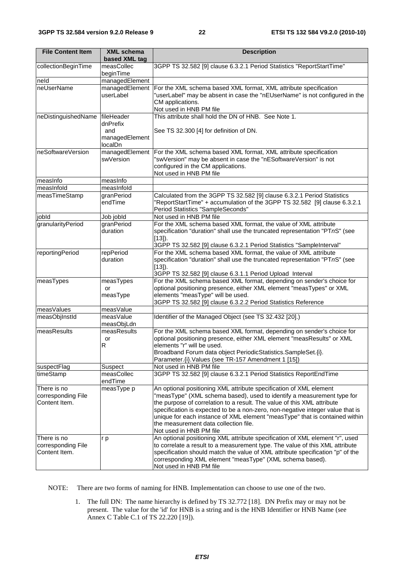| <b>File Content Item</b>                           | <b>XML schema</b><br>based XML tag                         | <b>Description</b>                                                                                                                                                                                                                                                                                                                                                                                                                                           |  |  |
|----------------------------------------------------|------------------------------------------------------------|--------------------------------------------------------------------------------------------------------------------------------------------------------------------------------------------------------------------------------------------------------------------------------------------------------------------------------------------------------------------------------------------------------------------------------------------------------------|--|--|
| collectionBeginTime                                | measCollec<br>beginTime                                    | 3GPP TS 32.582 [9] clause 6.3.2.1 Period Statistics "ReportStartTime"                                                                                                                                                                                                                                                                                                                                                                                        |  |  |
| neld                                               | managedElement                                             |                                                                                                                                                                                                                                                                                                                                                                                                                                                              |  |  |
| neUserName                                         | managedElement<br>userLabel                                | For the XML schema based XML format, XML attribute specification<br>"userLabel" may be absent in case the "nEUserName" is not configured in the<br>CM applications.<br>Not used in HNB PM file                                                                                                                                                                                                                                                               |  |  |
| neDistinguishedName                                | fileHeader<br>dnPrefix<br>and<br>managedElement<br>localDn | This attribute shall hold the DN of HNB. See Note 1.<br>See TS 32.300 [4] for definition of DN.                                                                                                                                                                                                                                                                                                                                                              |  |  |
| neSoftwareVersion                                  | managedElement<br>swVersion                                | For the XML schema based XML format, XML attribute specification<br>"swVersion" may be absent in case the "nESoftwareVersion" is not<br>configured in the CM applications.<br>Not used in HNB PM file                                                                                                                                                                                                                                                        |  |  |
| measInfo                                           | measInfo                                                   |                                                                                                                                                                                                                                                                                                                                                                                                                                                              |  |  |
| measInfold                                         | measInfold                                                 |                                                                                                                                                                                                                                                                                                                                                                                                                                                              |  |  |
| measTimeStamp                                      | granPeriod<br>endTime                                      | Calculated from the 3GPP TS 32.582 [9] clause 6.3.2.1 Period Statistics<br>"ReportStartTime" + accumulation of the 3GPP TS 32.582 [9] clause 6.3.2.1<br>Period Statistics "SampleSeconds"                                                                                                                                                                                                                                                                    |  |  |
| jobld                                              | Job jobld                                                  | Not used in HNB PM file                                                                                                                                                                                                                                                                                                                                                                                                                                      |  |  |
| granularityPeriod                                  | granPeriod<br>duration                                     | For the XML schema based XML format, the value of XML attribute<br>specification "duration" shall use the truncated representation "PTnS" (see<br>$[13]$ ).<br>3GPP TS 32.582 [9] clause 6.3.2.1 Period Statistics "SampleInterval"                                                                                                                                                                                                                          |  |  |
| reportingPeriod                                    | repPeriod<br>duration                                      | For the XML schema based XML format, the value of XML attribute<br>specification "duration" shall use the truncated representation "PTnS" (see<br>$[13]$ ).<br>3GPP TS 32.582 [9] clause 6.3.1.1 Period Upload Interval                                                                                                                                                                                                                                      |  |  |
| measTypes                                          | measTypes<br>or<br>measType                                | For the XML schema based XML format, depending on sender's choice for<br>optional positioning presence, either XML element "measTypes" or XML<br>elements "measType" will be used.<br>3GPP TS 32.582 [9] clause 6.3.2.2 Period Statistics Reference                                                                                                                                                                                                          |  |  |
| measValues                                         | measValue                                                  |                                                                                                                                                                                                                                                                                                                                                                                                                                                              |  |  |
| measObjInstId                                      | measValue<br>measObjLdn                                    | Identifier of the Managed Object (see TS 32.432 [20].)                                                                                                                                                                                                                                                                                                                                                                                                       |  |  |
| measResults                                        | measResults<br>or<br>R                                     | For the XML schema based XML format, depending on sender's choice for<br>optional positioning presence, either XML element "measResults" or XML<br>elements "r" will be used.<br>Broadband Forum data object PeriodicStatistics.SampleSet.{i}.<br>Parameter. {i}. Values (see TR-157 Amendment 1 [15])                                                                                                                                                       |  |  |
| suspectFlag                                        | Suspect                                                    | Not used in HNB PM file                                                                                                                                                                                                                                                                                                                                                                                                                                      |  |  |
| timeStamp                                          | measCollec<br>endTime                                      | 3GPP TS 32.582 [9] clause 6.3.2.1 Period Statistics ReportEndTime                                                                                                                                                                                                                                                                                                                                                                                            |  |  |
| There is no<br>corresponding File<br>Content Item. | measType p                                                 | An optional positioning XML attribute specification of XML element<br>"measType" (XML schema based), used to identify a measurement type for<br>the purpose of correlation to a result. The value of this XML attribute<br>specification is expected to be a non-zero, non-negative integer value that is<br>unique for each instance of XML element "measType" that is contained within<br>the measurement data collection file.<br>Not used in HNB PM file |  |  |
| There is no<br>corresponding File<br>Content Item. | r p                                                        | An optional positioning XML attribute specification of XML element "r", used<br>to correlate a result to a measurement type. The value of this XML attribute<br>specification should match the value of XML attribute specification "p" of the<br>corresponding XML element "measType" (XML schema based).<br>Not used in HNB PM file                                                                                                                        |  |  |

NOTE: There are two forms of naming for HNB. Implementation can choose to use one of the two.

1. The full DN: The name hierarchy is defined by TS 32.772 [18]. DN Prefix may or may not be present. The value for the 'id' for HNB is a string and is the HNB Identifier or HNB Name (see Annex C Table C.1 of TS 22.220 [19]).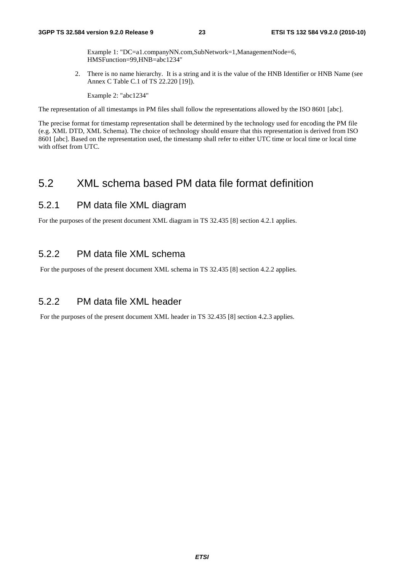Example 1: "DC=a1.companyNN.com,SubNetwork=1,ManagementNode=6, HMSFunction=99,HNB=abc1234"

2. There is no name hierarchy. It is a string and it is the value of the HNB Identifier or HNB Name (see Annex C Table C.1 of TS 22.220 [19]).

Example 2: "abc1234"

The representation of all timestamps in PM files shall follow the representations allowed by the ISO 8601 [abc].

The precise format for timestamp representation shall be determined by the technology used for encoding the PM file (e.g. XML DTD, XML Schema). The choice of technology should ensure that this representation is derived from ISO 8601 [abc]. Based on the representation used, the timestamp shall refer to either UTC time or local time or local time with offset from UTC.

### 5.2 XML schema based PM data file format definition

### 5.2.1 PM data file XML diagram

For the purposes of the present document XML diagram in TS 32.435 [8] section 4.2.1 applies.

### 5.2.2 PM data file XML schema

For the purposes of the present document XML schema in TS 32.435 [8] section 4.2.2 applies.

### 5.2.2 PM data file XML header

For the purposes of the present document XML header in TS 32.435 [8] section 4.2.3 applies.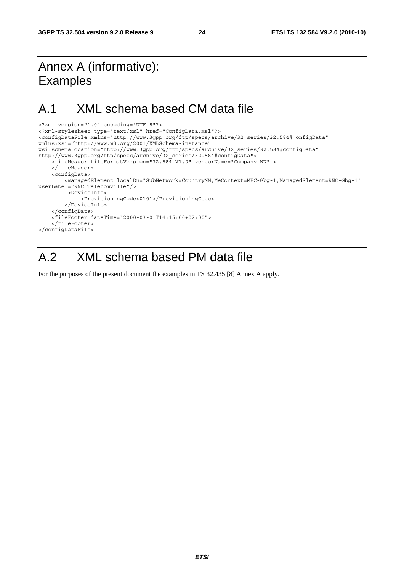### Annex A (informative): Examples

### A.1 XML schema based CM data file

```
<?xml version="1.0" encoding="UTF-8"?> 
<?xml-stylesheet type="text/xsl" href="ConfigData.xsl"?> 
<configDataFile xmlns="http://www.3gpp.org/ftp/specs/archive/32_series/32.584# onfigData" 
xmlns:xsi="http://www.w3.org/2001/XMLSchema-instance" 
xsi:schemaLocation="http://www.3gpp.org/ftp/specs/archive/32_series/32.584#configData" 
http://www.3gpp.org/ftp/specs/archive/32_series/32.584#configData"> 
     <fileHeader fileFormatVersion="32.584 V1.0" vendorName="Company NN" > 
     </fileHeader> 
     <configData> 
         <managedElement localDn="SubNetwork=CountryNN,MeContext=MEC-Gbg-1,ManagedElement=RNC-Gbg-1" 
userLabel="RNC Telecomville"/> 
          <DeviceInfo> 
              <ProvisioningCode>0101</ProvisioningCode> 
         </DeviceInfo> 
     </configData> 
     <fileFooter dateTime="2000-03-01T14:15:00+02:00"> 
     </fileFooter> 
</configDataFile>
```
### A.2 XML schema based PM data file

For the purposes of the present document the examples in TS 32.435 [8] Annex A apply.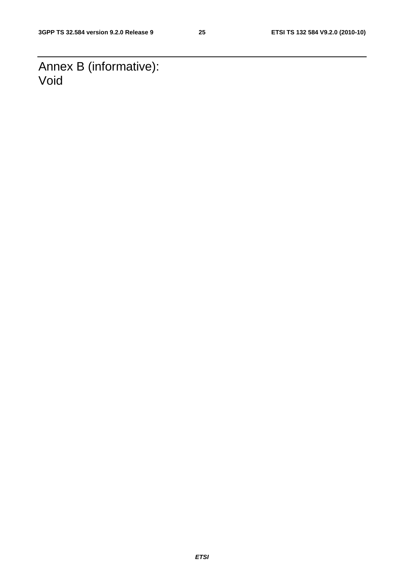Annex B (informative): Void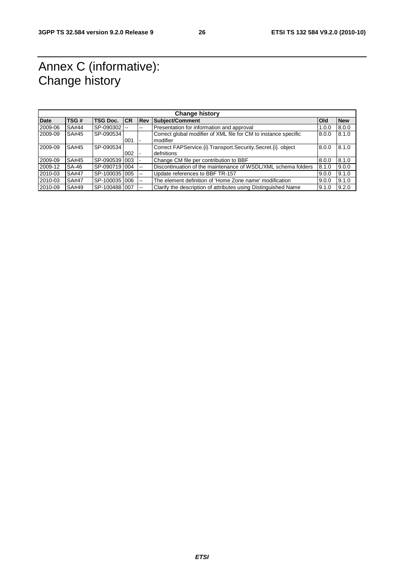### Annex C (informative): Change history

|             | <b>Change history</b> |                     |     |                |                                                                   |              |            |  |
|-------------|-----------------------|---------------------|-----|----------------|-------------------------------------------------------------------|--------------|------------|--|
| <b>Date</b> | TSG#                  | <b>TSG Doc. ICR</b> |     | <b>Rev</b>     | <b>Subject/Comment</b>                                            | <b>l</b> Old | <b>New</b> |  |
| 2009-06     | SA#44                 | SP-090302 -         |     | --             | Presentation for information and approval                         | 1.0.0        | 8.0.0      |  |
| 2009-09     | SA#45                 | SP-090534           |     |                | Correct global modifier of XML file for CM to instance specific   | 8.0.0        | 8.1.0      |  |
|             |                       |                     | 001 |                | modifier                                                          |              |            |  |
| 2009-09     | SA#45                 | SP-090534           |     |                | Correct FAPService. (i). Transport. Security. Secret. (i). object | 8.0.0        | 8.1.0      |  |
|             |                       |                     | 002 |                | defnitions                                                        |              |            |  |
| 2009-09     | SA#45                 | SP-0905391003       |     |                | Change CM file per contribution to BBF                            | 8.0.0        | 8.1.0      |  |
| 2009-12     | SA-46                 | SP-0907191004       |     | $\overline{a}$ | Discontinuation of the maintenance of WSDL/XML schema folders     | 8.1.0        | 9.0.0      |  |
| 2010-03     | SA#47                 | SP-100035 005       |     | $\overline{a}$ | Update references to BBF TR-157                                   | 9.0.0        | 9.1.0      |  |
| 2010-03     | SA#47                 | SP-1000351006       |     | $- -$          | The element definition of 'Home Zone name' modification           | 9.0.0        | 9.1.0      |  |
| 2010-09     | SA#49                 | SP-100488 007       |     |                | Clarify the description of attributes using Distinguished Name    | 9.1.0        | 9.2.0      |  |